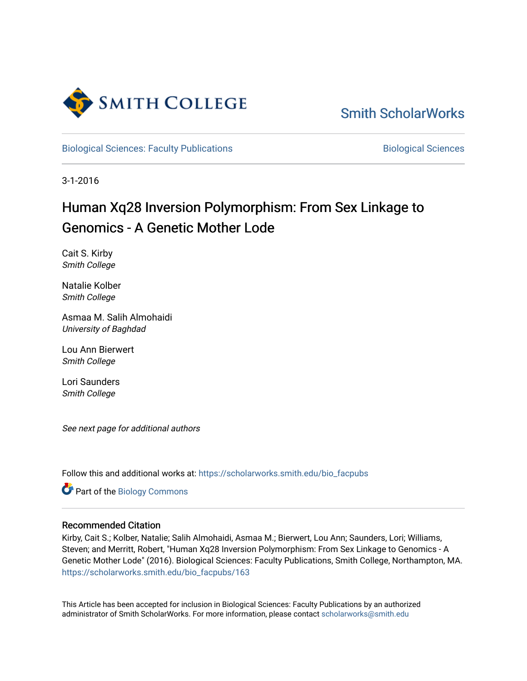

[Smith ScholarWorks](https://scholarworks.smith.edu/) 

[Biological Sciences: Faculty Publications](https://scholarworks.smith.edu/bio_facpubs) **Biological Sciences** Biological Sciences

3-1-2016

# Human Xq28 Inversion Polymorphism: From Sex Linkage to Genomics - A Genetic Mother Lode

Cait S. Kirby Smith College

Natalie Kolber Smith College

Asmaa M. Salih Almohaidi University of Baghdad

Lou Ann Bierwert Smith College

Lori Saunders Smith College

See next page for additional authors

Follow this and additional works at: [https://scholarworks.smith.edu/bio\\_facpubs](https://scholarworks.smith.edu/bio_facpubs?utm_source=scholarworks.smith.edu%2Fbio_facpubs%2F163&utm_medium=PDF&utm_campaign=PDFCoverPages)

Part of the [Biology Commons](http://network.bepress.com/hgg/discipline/41?utm_source=scholarworks.smith.edu%2Fbio_facpubs%2F163&utm_medium=PDF&utm_campaign=PDFCoverPages) 

### Recommended Citation

Kirby, Cait S.; Kolber, Natalie; Salih Almohaidi, Asmaa M.; Bierwert, Lou Ann; Saunders, Lori; Williams, Steven; and Merritt, Robert, "Human Xq28 Inversion Polymorphism: From Sex Linkage to Genomics - A Genetic Mother Lode" (2016). Biological Sciences: Faculty Publications, Smith College, Northampton, MA. [https://scholarworks.smith.edu/bio\\_facpubs/163](https://scholarworks.smith.edu/bio_facpubs/163?utm_source=scholarworks.smith.edu%2Fbio_facpubs%2F163&utm_medium=PDF&utm_campaign=PDFCoverPages)

This Article has been accepted for inclusion in Biological Sciences: Faculty Publications by an authorized administrator of Smith ScholarWorks. For more information, please contact [scholarworks@smith.edu](mailto:scholarworks@smith.edu)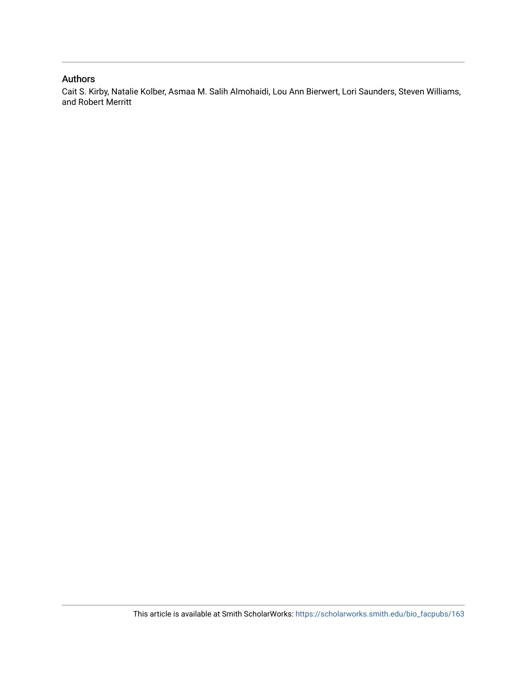### Authors

Cait S. Kirby, Natalie Kolber, Asmaa M. Salih Almohaidi, Lou Ann Bierwert, Lori Saunders, Steven Williams, and Robert Merritt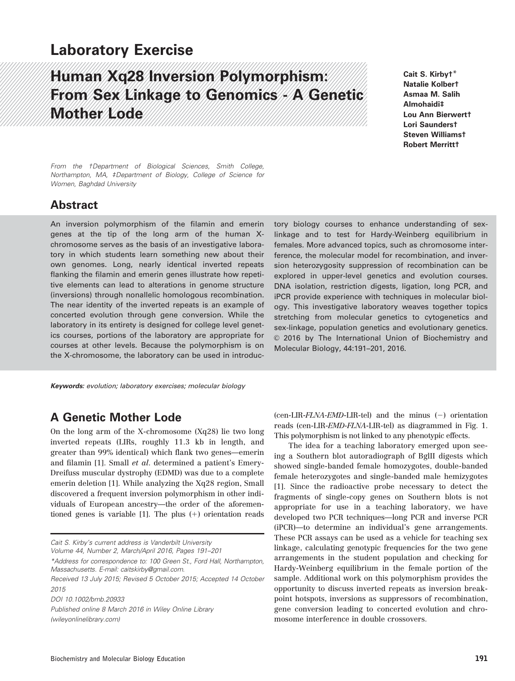# Laboratory Exercise

# Human Xq28 Inversion Polymorphism: From Sex Linkage to Genomics - A Genetic Mother Lode

Cait S. Kirby†\* Natalie Kolber† Asmaa M. Salih Almohaidi‡ Lou Ann Bierwert† Lori Saunders† Steven Williams† Robert Merritt†

From the †Department of Biological Sciences, Smith College, Northampton, MA, ‡Department of Biology, College of Science for Women, Baghdad University

### Abstract

An inversion polymorphism of the filamin and emerin genes at the tip of the long arm of the human Xchromosome serves as the basis of an investigative laboratory in which students learn something new about their own genomes. Long, nearly identical inverted repeats flanking the filamin and emerin genes illustrate how repetitive elements can lead to alterations in genome structure (inversions) through nonallelic homologous recombination. The near identity of the inverted repeats is an example of concerted evolution through gene conversion. While the laboratory in its entirety is designed for college level genetics courses, portions of the laboratory are appropriate for courses at other levels. Because the polymorphism is on the X-chromosome, the laboratory can be used in introduc-

Keywords: evolution; laboratory exercises; molecular biology

### A Genetic Mother Lode

On the long arm of the X-chromosome (Xq28) lie two long inverted repeats (LIRs, roughly 11.3 kb in length, and greater than 99% identical) which flank two genes—emerin and filamin [1]. Small et al. determined a patient's Emery-Dreifuss muscular dystrophy (EDMD) was due to a complete emerin deletion [1]. While analyzing the Xq28 region, Small discovered a frequent inversion polymorphism in other individuals of European ancestry—the order of the aforementioned genes is variable  $[1]$ . The plus  $(+)$  orientation reads

Cait S. Kirby's current address is Vanderbilt University

Volume 44, Number 2, March/April 2016, Pages 191–201

\*Address for correspondence to: 100 Green St., Ford Hall, Northampton, Massachusetts. E-mail: caitskirby@gmail.com.

DOI 10.1002/bmb.20933

Published online 8 March 2016 in Wiley Online Library (wileyonlinelibrary.com)

tory biology courses to enhance understanding of sexlinkage and to test for Hardy-Weinberg equilibrium in females. More advanced topics, such as chromosome interference, the molecular model for recombination, and inversion heterozygosity suppression of recombination can be explored in upper-level genetics and evolution courses. DNA isolation, restriction digests, ligation, long PCR, and iPCR provide experience with techniques in molecular biology. This investigative laboratory weaves together topics stretching from molecular genetics to cytogenetics and sex-linkage, population genetics and evolutionary genetics.  $©$  2016 by The International Union of Biochemistry and Molecular Biology, 44:191–201, 2016.

(cen-LIR- $FLNA$ - $EMD$ -LIR-tel) and the minus  $(-)$  orientation reads (cen-LIR-EMD-FLNA-LIR-tel) as diagrammed in Fig. 1. This polymorphism is not linked to any phenotypic effects.

The idea for a teaching laboratory emerged upon seeing a Southern blot autoradiograph of BglII digests which showed single-banded female homozygotes, double-banded female heterozygotes and single-banded male hemizygotes [1]. Since the radioactive probe necessary to detect the fragments of single-copy genes on Southern blots is not appropriate for use in a teaching laboratory, we have developed two PCR techniques—long PCR and inverse PCR (iPCR)—to determine an individual's gene arrangements. These PCR assays can be used as a vehicle for teaching sex linkage, calculating genotypic frequencies for the two gene arrangements in the student population and checking for Hardy-Weinberg equilibrium in the female portion of the sample. Additional work on this polymorphism provides the opportunity to discuss inverted repeats as inversion breakpoint hotspots, inversions as suppressors of recombination, gene conversion leading to concerted evolution and chromosome interference in double crossovers.

Received 13 July 2015; Revised 5 October 2015; Accepted 14 October  $2015$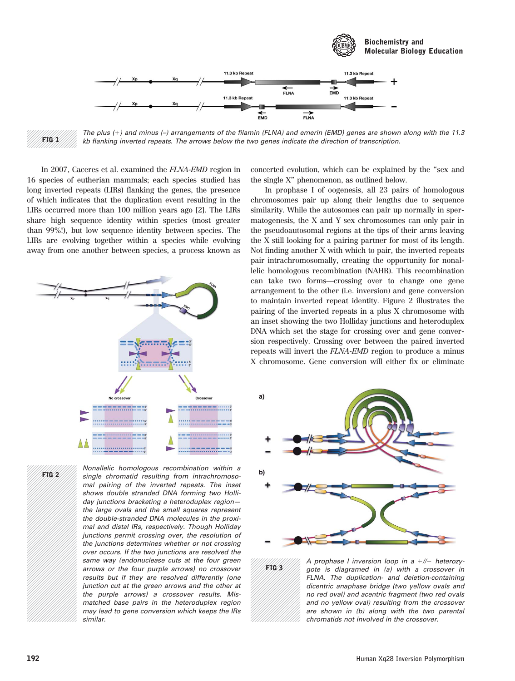

The plus  $(+)$  and minus  $(-)$  arrangements of the filamin (FLNA) and emerin (EMD) genes are shown along with the 11.3 kb flanking inverted repeats. The arrows below the two genes indicate the direction of transcription.

In 2007, Caceres et al. examined the FLNA-EMD region in 16 species of eutherian mammals; each species studied has long inverted repeats (LIRs) flanking the genes, the presence of which indicates that the duplication event resulting in the LIRs occurred more than 100 million years ago [2]. The LIRs share high sequence identity within species (most greater than 99%!), but low sequence identity between species. The LIRs are evolving together within a species while evolving away from one another between species, a process known as



FIG 2

FIG 1

Nonallelic homologous recombination within a single chromatid resulting from intrachromosomal pairing of the inverted repeats. The inset shows double stranded DNA forming two Holliday junctions bracketing a heteroduplex region the large ovals and the small squares represent the double-stranded DNA molecules in the proximal and distal IRs, respectively. Though Holliday junctions permit crossing over, the resolution of the junctions determines whether or not crossing over occurs. If the two junctions are resolved the same way (endonuclease cuts at the four green arrows or the four purple arrows) no crossover results but if they are resolved differently (one junction cut at the green arrows and the other at the purple arrows) a crossover results. Mismatched base pairs in the heteroduplex region may lead to gene conversion which keeps the IRs similar.

concerted evolution, which can be explained by the "sex and the single X" phenomenon, as outlined below.

In prophase I of oogenesis, all 23 pairs of homologous chromosomes pair up along their lengths due to sequence similarity. While the autosomes can pair up normally in spermatogenesis, the X and Y sex chromosomes can only pair in the pseudoautosomal regions at the tips of their arms leaving the X still looking for a pairing partner for most of its length. Not finding another X with which to pair, the inverted repeats pair intrachromosomally, creating the opportunity for nonallelic homologous recombination (NAHR). This recombination can take two forms—crossing over to change one gene arrangement to the other (i.e. inversion) and gene conversion to maintain inverted repeat identity. Figure 2 illustrates the pairing of the inverted repeats in a plus X chromosome with an inset showing the two Holliday junctions and heteroduplex DNA which set the stage for crossing over and gene conversion respectively. Crossing over between the paired inverted repeats will invert the FLNA-EMD region to produce a minus X chromosome. Gene conversion will either fix or eliminate



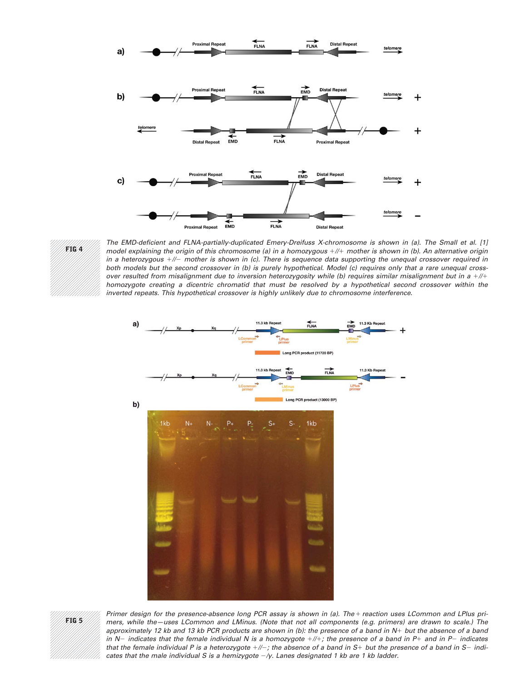



The EMD-deficient and FLNA-partially-duplicated Emery-Dreifuss X-chromosome is shown in (a). The Small et al. [1] model explaining the origin of this chromosome (a) in a homozygous  $+//+$  mother is shown in (b). An alternative origin in a heterozygous  $+//-$  mother is shown in (c). There is sequence data supporting the unequal crossover required in both models but the second crossover in (b) is purely hypothetical. Model (c) requires only that a rare unequal crossover resulted from misalignment due to inversion heterozygosity while (b) requires similar misalignment but in a  $+//+$ homozygote creating a dicentric chromatid that must be resolved by a hypothetical second crossover within the inverted repeats. This hypothetical crossover is highly unlikely due to chromosome interference.





Primer design for the presence-absence long PCR assay is shown in (a). The + reaction uses LCommon and LPlus primers, while the—uses LCommon and LMinus. (Note that not all components (e.g. primers) are drawn to scale.) The approximately 12 kb and 13 kb PCR products are shown in (b): the presence of a band in  $N+$  but the absence of a band in N- indicates that the female individual N is a homozygote  $+//+$ ; the presence of a band in P+ and in P- indicates that the female individual P is a heterozygote  $+\#$ ; the absence of a band in S+ but the presence of a band in S- indicates that the male individual S is a hemizygote  $-\gamma$ . Lanes designated 1 kb are 1 kb ladder.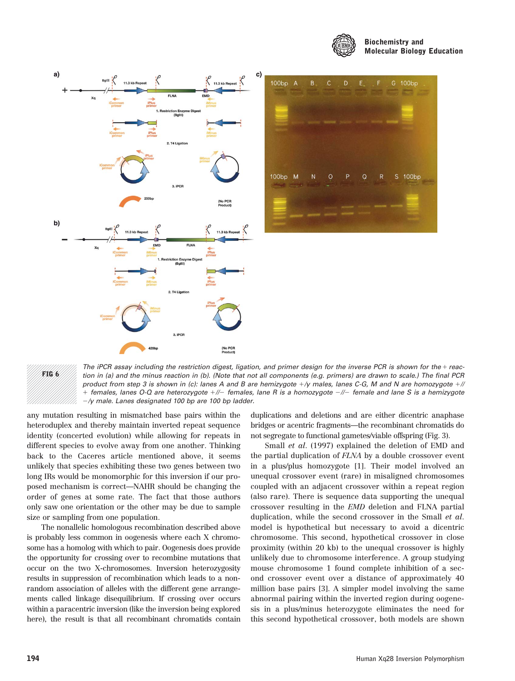





The iPCR assay including the restriction digest, ligation, and primer design for the inverse PCR is shown for the  $+$  reaction in (a) and the minus reaction in (b). (Note that not all components (e.g. primers) are drawn to scale.) The final PCR product from step 3 is shown in (c): lanes A and B are hemizygote  $+\gamma$  males, lanes C-G, M and N are homozygote  $+\gamma$ + females, lanes O-Q are heterozygote +//- females, lane R is a homozygote -//- female and lane S is a hemizygote  $-\gamma$  male. Lanes designated 100 bp are 100 bp ladder.

any mutation resulting in mismatched base pairs within the heteroduplex and thereby maintain inverted repeat sequence identity (concerted evolution) while allowing for repeats in different species to evolve away from one another. Thinking back to the Caceres article mentioned above, it seems unlikely that species exhibiting these two genes between two long IRs would be monomorphic for this inversion if our proposed mechanism is correct—NAHR should be changing the order of genes at some rate. The fact that those authors only saw one orientation or the other may be due to sample size or sampling from one population.

The nonallelic homologous recombination described above is probably less common in oogenesis where each X chromosome has a homolog with which to pair. Oogenesis does provide the opportunity for crossing over to recombine mutations that occur on the two X-chromosomes. Inversion heterozygosity results in suppression of recombination which leads to a nonrandom association of alleles with the different gene arrangements called linkage disequilibrium. If crossing over occurs within a paracentric inversion (like the inversion being explored here), the result is that all recombinant chromatids contain duplications and deletions and are either dicentric anaphase bridges or acentric fragments—the recombinant chromatids do not segregate to functional gametes/viable offspring (Fig. 3).

Small et al. (1997) explained the deletion of EMD and the partial duplication of FLNA by a double crossover event in a plus/plus homozygote [1]. Their model involved an unequal crossover event (rare) in misaligned chromosomes coupled with an adjacent crossover within a repeat region (also rare). There is sequence data supporting the unequal crossover resulting in the EMD deletion and FLNA partial duplication, while the second crossover in the Small et al. model is hypothetical but necessary to avoid a dicentric chromosome. This second, hypothetical crossover in close proximity (within 20 kb) to the unequal crossover is highly unlikely due to chromosome interference. A group studying mouse chromosome 1 found complete inhibition of a second crossover event over a distance of approximately 40 million base pairs [3]. A simpler model involving the same abnormal pairing within the inverted region during oogenesis in a plus/minus heterozygote eliminates the need for this second hypothetical crossover, both models are shown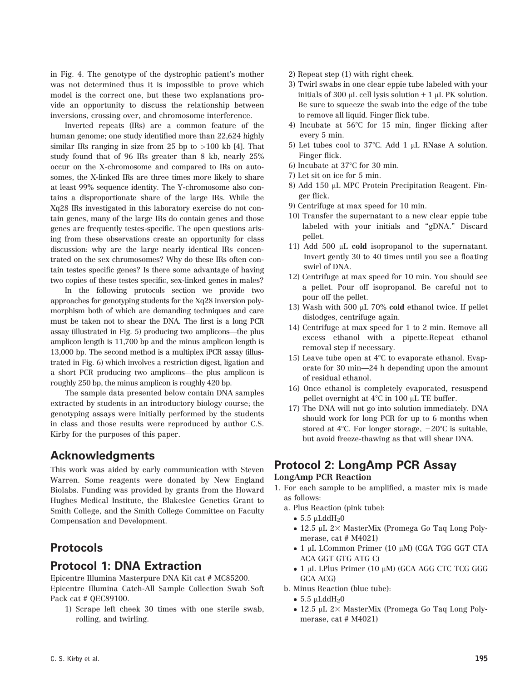in Fig. 4. The genotype of the dystrophic patient's mother was not determined thus it is impossible to prove which model is the correct one, but these two explanations provide an opportunity to discuss the relationship between inversions, crossing over, and chromosome interference.

Inverted repeats (IRs) are a common feature of the human genome; one study identified more than 22,624 highly similar IRs ranging in size from 25 bp to >100 kb [4]. That study found that of 96 IRs greater than 8 kb, nearly 25% occur on the X-chromosome and compared to IRs on autosomes, the X-linked IRs are three times more likely to share at least 99% sequence identity. The Y-chromosome also contains a disproportionate share of the large IRs. While the Xq28 IRs investigated in this laboratory exercise do not contain genes, many of the large IRs do contain genes and those genes are frequently testes-specific. The open questions arising from these observations create an opportunity for class discussion: why are the large nearly identical IRs concentrated on the sex chromosomes? Why do these IRs often contain testes specific genes? Is there some advantage of having two copies of these testes specific, sex-linked genes in males?

In the following protocols section we provide two approaches for genotyping students for the Xq28 inversion polymorphism both of which are demanding techniques and care must be taken not to shear the DNA. The first is a long PCR assay (illustrated in Fig. 5) producing two amplicons—the plus amplicon length is 11,700 bp and the minus amplicon length is 13,000 bp. The second method is a multiplex iPCR assay (illustrated in Fig. 6) which involves a restriction digest, ligation and a short PCR producing two amplicons—the plus amplicon is roughly 250 bp, the minus amplicon is roughly 420 bp.

The sample data presented below contain DNA samples extracted by students in an introductory biology course; the genotyping assays were initially performed by the students in class and those results were reproduced by author C.S. Kirby for the purposes of this paper.

### Acknowledgments

This work was aided by early communication with Steven Warren. Some reagents were donated by New England Biolabs. Funding was provided by grants from the Howard Hughes Medical Institute, the Blakeslee Genetics Grant to Smith College, and the Smith College Committee on Faculty Compensation and Development.

### Protocols

### Protocol 1: DNA Extraction

Epicentre Illumina Masterpure DNA Kit cat # MC85200. Epicentre Illumina Catch-All Sample Collection Swab Soft Pack cat # QEC89100.

1) Scrape left cheek 30 times with one sterile swab, rolling, and twirling.

- 2) Repeat step (1) with right cheek.
- 3) Twirl swabs in one clear eppie tube labeled with your initials of 300  $\mu$ L cell lysis solution + 1  $\mu$ L PK solution. Be sure to squeeze the swab into the edge of the tube to remove all liquid. Finger flick tube.
- 4) Incubate at  $56^{\circ}$ C for 15 min, finger flicking after every 5 min.
- 5) Let tubes cool to 37 $\degree$ C. Add 1 µL RNase A solution. Finger flick.
- 6) Incubate at  $37^{\circ}$ C for 30 min.
- 7) Let sit on ice for 5 min.
- 8) Add 150 µL MPC Protein Precipitation Reagent. Finger flick.
- 9) Centrifuge at max speed for 10 min.
- 10) Transfer the supernatant to a new clear eppie tube labeled with your initials and "gDNA." Discard pellet.
- 11) Add 500  $\mu$ L cold isopropanol to the supernatant. Invert gently 30 to 40 times until you see a floating swirl of DNA.
- 12) Centrifuge at max speed for 10 min. You should see a pellet. Pour off isopropanol. Be careful not to pour off the pellet.
- 13) Wash with 500  $\mu$ L 70% cold ethanol twice. If pellet dislodges, centrifuge again.
- 14) Centrifuge at max speed for 1 to 2 min. Remove all excess ethanol with a pipette.Repeat ethanol removal step if necessary.
- 15) Leave tube open at  $4^{\circ}$ C to evaporate ethanol. Evaporate for 30 min—24 h depending upon the amount of residual ethanol.
- 16) Once ethanol is completely evaporated, resuspend pellet overnight at  $4^{\circ}$ C in 100 µL TE buffer.
- 17) The DNA will not go into solution immediately. DNA should work for long PCR for up to 6 months when stored at 4 $\degree$ C. For longer storage,  $-20\degree$ C is suitable, but avoid freeze-thawing as that will shear DNA.

# Protocol 2: LongAmp PCR Assay

### LongAmp PCR Reaction

- 1. For each sample to be amplified, a master mix is made as follows:
	- a. Plus Reaction (pink tube):
		- $\bullet$  5.5 µLddH<sub>2</sub>0
		- 12.5 µL 2× MasterMix (Promega Go Taq Long Polymerase, cat # M4021)
		- 1 μL LCommon Primer (10 μM) (CGA TGG GGT CTA ACA GGT GTG ATG C)
		- 1 μL LPlus Primer (10 μM) (GCA AGG CTC TCG GGG GCA ACG)
	- b. Minus Reaction (blue tube):
		- $5.5 \mu$ LddH<sub>2</sub>0
		- 12.5 µL 2× MasterMix (Promega Go Taq Long Polymerase, cat # M4021)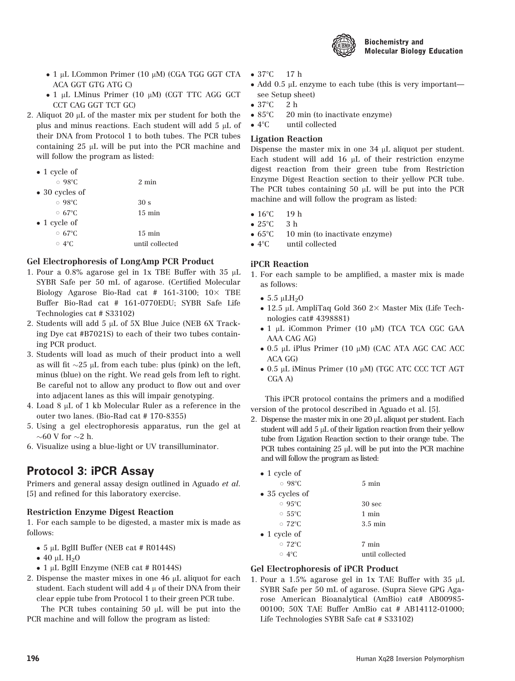

- 1 μL LCommon Primer (10 μM) (CGA TGG GGT CTA ACA GGT GTG ATG C)
- 1 μL LMinus Primer (10 μM) (CGT TTC AGG GCT CCT CAG GGT TCT GC)
- 2. Aliquot 20  $\mu$ L of the master mix per student for both the plus and minus reactions. Each student will add 5  $\mu$ L of their DNA from Protocol 1 to both tubes. The PCR tubes containing  $25 \mu L$  will be put into the PCR machine and will follow the program as listed:

| $\bullet$ 1 cycle of   |                  |
|------------------------|------------------|
| $\circ$ 98°C           | $2 \text{ min}$  |
| $\bullet$ 30 cycles of |                  |
| $\circ$ 98°C           | 30 <sub>s</sub>  |
| $\circ$ 67 $\circ$ C   | $15 \text{ min}$ |
| $\bullet$ 1 cycle of   |                  |
| $\circ$ 67 $\degree$ C | $15 \text{ min}$ |
| $\circ$ 4°C.           | until collected  |
|                        |                  |

### Gel Electrophoresis of LongAmp PCR Product

- 1. Pour a  $0.8\%$  agarose gel in 1x TBE Buffer with 35  $\mu$ L SYBR Safe per 50 mL of agarose. (Certified Molecular Biology Agarose Bio-Rad cat # 161-3100;  $10\times$  TBE Buffer Bio-Rad cat # 161-0770EDU; SYBR Safe Life Technologies cat # S33102)
- 2. Students will add 5  $\mu$ L of 5X Blue Juice (NEB 6X Tracking Dye cat #B7021S) to each of their two tubes containing PCR product.
- 3. Students will load as much of their product into a well as will fit  $\sim$ 25 µL from each tube: plus (pink) on the left, minus (blue) on the right. We read gels from left to right. Be careful not to allow any product to flow out and over into adjacent lanes as this will impair genotyping.
- 4. Load  $8 \mu L$  of 1 kb Molecular Ruler as a reference in the outer two lanes. (Bio-Rad cat # 170-8355)
- 5. Using a gel electrophoresis apparatus, run the gel at  $\sim$  60 V for  $\sim$  2 h.
- 6. Visualize using a blue-light or UV transilluminator.

## Protocol 3: iPCR Assay

Primers and general assay design outlined in Aguado et al. [5] and refined for this laboratory exercise.

### Restriction Enzyme Digest Reaction

1. For each sample to be digested, a master mix is made as follows:

- 5 mL BglII Buffer (NEB cat # R0144S)
- $40 \mu L H_2O$
- 1 µL BglII Enzyme (NEB cat # R0144S)
- 2. Dispense the master mixes in one  $46 \mu L$  aliquot for each student. Each student will add  $4 \mu$  of their DNA from their clear eppie tube from Protocol 1 to their green PCR tube.

The PCR tubes containing 50  $\mu$ L will be put into the PCR machine and will follow the program as listed:

- $37^{\circ}$ C 17 h
- Add 0.5 µL enzyme to each tube (this is very important see Setup sheet)
- $\bullet$  37°C  $\quad$  2 h
- $-85^{\circ}C$ 20 min (to inactivate enzyme)
- $-4^{\circ}C$ until collected

### Ligation Reaction

Dispense the master mix in one  $34 \mu L$  aliquot per student. Each student will add  $16 \mu L$  of their restriction enzyme digest reaction from their green tube from Restriction Enzyme Digest Reaction section to their yellow PCR tube. The PCR tubes containing 50  $\mu$ L will be put into the PCR machine and will follow the program as listed:

- $16^{\circ}$ C 19 h
- $25^{\circ}$ C 3 h
- $\bullet$  65°C 10 min (to inactivate enzyme)
- $-4^{\circ}C$ until collected

### iPCR Reaction

- 1. For each sample to be amplified, a master mix is made as follows:
	- $\bullet$  5.5 µLH<sub>2</sub>O
	- $\bullet$  12.5 µL AmpliTaq Gold 360 2 $\times$  Master Mix (Life Technologies cat# 4398881)
	- 1 μL iCommon Primer (10 μM) (TCA TCA CGC GAA AAA CAG AG)
	- 0.5 μL iPlus Primer (10 μM) (CAC ATA AGC CAC ACC ACA GG)
	- 0.5 μL iMinus Primer (10 μM) (TGC ATC CCC TCT AGT CGA A)

This iPCR protocol contains the primers and a modified version of the protocol described in Aguado et al. [5].

2. Dispense the master mix in one  $20 \mu L$  aliquot per student. Each student will add 5  $\mu$ L of their ligation reaction from their yellow tube from Ligation Reaction section to their orange tube. The PCR tubes containing 25 µL will be put into the PCR machine and will follow the program as listed:

| $\bullet$ 1 cycle of       |                   |
|----------------------------|-------------------|
| $\circ$ 98°C               | $5 \text{ min}$   |
| $\bullet$ 35 cycles of     |                   |
| $\circ$ 95°C               | 30 <sub>sec</sub> |
| $\circ$ 55 $\rm ^{\circ}C$ | 1 min             |
| $\circ$ 72°C               | $3.5 \text{ min}$ |
| $\bullet$ 1 cycle of       |                   |
| $\circ$ 72°C               | 7 min             |
| $\circ$ 4°C.               | until collected   |
|                            |                   |

### Gel Electrophoresis of iPCR Product

1. Pour a 1.5% agarose gel in 1x TAE Buffer with  $35 \mu L$ SYBR Safe per 50 mL of agarose. (Supra Sieve GPG Agarose American Bioanalytical (AmBio) cat# AB00985- 00100; 50X TAE Buffer AmBio cat # AB14112-01000; Life Technologies SYBR Safe cat # S33102)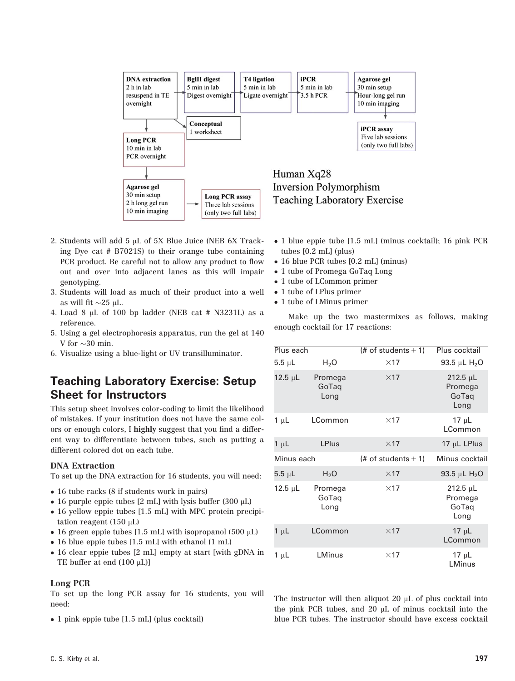

- 2. Students will add 5 µL of 5X Blue Juice (NEB 6X Tracking Dye cat # B7021S) to their orange tube containing PCR product. Be careful not to allow any product to flow out and over into adjacent lanes as this will impair genotyping.
- 3. Students will load as much of their product into a well as will fit  $\sim$ 25 µL.
- 4. Load 8  $\mu$ L of 100 bp ladder (NEB cat # N3231L) as a reference.
- 5. Using a gel electrophoresis apparatus, run the gel at 140 V for  $\sim$  30 min.
- 6. Visualize using a blue-light or UV transilluminator.

### Teaching Laboratory Exercise: Setup Sheet for Instructors

This setup sheet involves color-coding to limit the likelihood of mistakes. If your institution does not have the same colors or enough colors, I highly suggest that you find a different way to differentiate between tubes, such as putting a different colored dot on each tube.

### DNA Extraction

To set up the DNA extraction for 16 students, you will need:

- 16 tube racks (8 if students work in pairs)
- 16 purple eppie tubes [2 mL] with lysis buffer (300  $\mu$ L)
- 16 yellow eppie tubes [1.5 mL] with MPC protein precipitation reagent  $(150 \mu L)$
- 16 green eppie tubes [1.5 mL] with isopropanol (500  $\mu$ L)
- 16 blue eppie tubes [1.5 mL] with ethanol (1 mL)
- 16 clear eppie tubes [2 mL] empty at start [with gDNA in TE buffer at end  $(100 \mu L)$ ]

#### Long PCR

To set up the long PCR assay for 16 students, you will need:

• 1 pink eppie tube [1.5 mL] (plus cocktail)

- 1 blue eppie tube [1.5 mL] (minus cocktail); 16 pink PCR tubes [0.2 mL] (plus)
- 16 blue PCR tubes [0.2 mL] (minus)
- 1 tube of Promega GoTaq Long
- 1 tube of LCommon primer
- 1 tube of LPlus primer
- 1 tube of LMinus primer

Make up the two mastermixes as follows, making enough cocktail for 17 reactions:

| Plus each    |                          | $#$ of students + 1)  | Plus cocktail                             |
|--------------|--------------------------|-----------------------|-------------------------------------------|
| $5.5 \mu L$  | H <sub>2</sub> O         | $\times$ 17           | 93.5 µL $H_{2}O$                          |
| 12.5 $\mu$ L | Promega<br>GoTaq<br>Long | $\times$ 17           | $212.5 \mu L$<br>Promega<br>GoTaq<br>Long |
| $1 \mu L$    | LCommon                  | $\times$ 17           | $17 \mu L$<br>LCommon                     |
| $1 \mu L$    | <b>LPlus</b>             | $\times$ 17           | 17 $\mu$ L LPlus                          |
| Minus each   |                          | (# of students $+1$ ) | Minus cocktail                            |
| $5.5 \mu L$  | $H_2O$                   | $\times$ 17           | 93.5 µL $H_2O$                            |
| 12.5 $\mu$ L | Promega<br>GoTaq<br>Long | $\times$ 17           | $212.5 \mu L$<br>Promega<br>GoTaq<br>Long |
| $1 \mu L$    | LCommon                  | $\times$ 17           | 17 $\mu$ L<br>LCommon                     |
| $1 \mu L$    | LMinus                   | $\times$ 17           | $17 \mu L$<br>LMinus                      |

The instructor will then aliquot  $20 \mu L$  of plus cocktail into the pink PCR tubes, and  $20 \mu L$  of minus cocktail into the blue PCR tubes. The instructor should have excess cocktail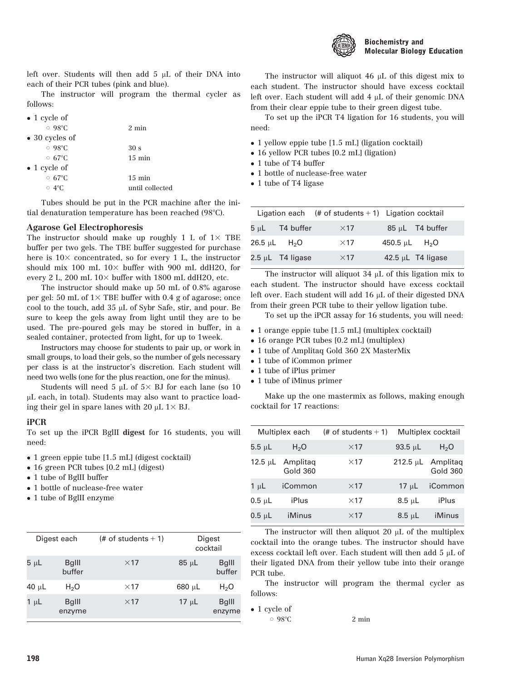

left over. Students will then add  $5 \mu L$  of their DNA into each of their PCR tubes (pink and blue).

The instructor will program the thermal cycler as follows:

 $\bullet$  1 cycle of

| $\circ$ 98°C                | $2 \text{ min}$  |
|-----------------------------|------------------|
| $\bullet$ 30 cycles of      |                  |
| $\circ$ 98°C                | 30 <sub>s</sub>  |
| $\circ$ 67 $\circ$ C        | $15 \text{ min}$ |
| $\bullet$ 1 cycle of        |                  |
| $\circ$ 67 $\rm{^{\circ}C}$ | $15 \text{ min}$ |
| $\circ$ 4°C                 | until collected  |
|                             |                  |

Tubes should be put in the PCR machine after the initial denaturation temperature has been reached  $(98^{\circ}C)$ .

### Agarose Gel Electrophoresis

The instructor should make up roughly 1 L of  $1\times$  TBE buffer per two gels. The TBE buffer suggested for purchase here is  $10\times$  concentrated, so for every 1 L, the instructor should mix 100 mL  $10\times$  buffer with 900 mL ddH2O, for every 2 L, 200 mL  $10\times$  buffer with 1800 mL ddH2O, etc.

The instructor should make up 50 mL of 0.8% agarose per gel: 50 mL of  $1\times$  TBE buffer with 0.4 g of agarose; once cool to the touch, add 35 µL of Sybr Safe, stir, and pour. Be sure to keep the gels away from light until they are to be used. The pre-poured gels may be stored in buffer, in a sealed container, protected from light, for up to 1week.

Instructors may choose for students to pair up, or work in small groups, to load their gels, so the number of gels necessary per class is at the instructor's discretion. Each student will need two wells (one for the plus reaction, one for the minus).

Students will need 5  $\mu$ L of 5× BJ for each lane (so 10 mL each, in total). Students may also want to practice loading their gel in spare lanes with 20  $\mu$ L 1 $\times$  BJ.

### iPCR

To set up the iPCR BglII digest for 16 students, you will need:

- 1 green eppie tube [1.5 mL] (digest cocktail)
- 16 green PCR tubes [0.2 mL] (digest)
- 1 tube of BglII buffer
- 1 bottle of nuclease-free water
- 1 tube of BglII enzyme

| Digest each |                        | (# of students $+1$ ) | Digest<br>cocktail |                         |
|-------------|------------------------|-----------------------|--------------------|-------------------------|
| 5 µL        | <b>BgIII</b><br>buffer | $\times$ 17           | $85 \mu L$         | <b>BgIII</b><br>buffer  |
| 40 $\mu$ L  | H <sub>2</sub> O       | $\times$ 17           | $680 \mu L$        | H <sub>2</sub> O        |
| $\mu$ L     | <b>BgIII</b><br>enzyme | $\times$ 17           | $17 \mu L$         | <b>B</b> qlll<br>enzyme |

The instructor will aliquot 46  $\mu$ L of this digest mix to each student. The instructor should have excess cocktail left over. Each student will add  $4 \mu$ L of their genomic DNA from their clear eppie tube to their green digest tube.

To set up the iPCR T4 ligation for 16 students, you will need:

- 1 yellow eppie tube [1.5 mL] (ligation cocktail)
- 16 yellow PCR tubes [0.2 mL] (ligation)
- 1 tube of T4 buffer
- 1 bottle of nuclease-free water
- 1 tube of T4 ligase

|                       | Ligation each $(# of students + 1)$ Ligation cocktail |                        |
|-----------------------|-------------------------------------------------------|------------------------|
| $5 \mu L$ T4 buffer   | $\times$ 17                                           | $85 \mu L$ T4 buffer   |
| 26.5 µL $H_2O$        | $\times$ 17                                           | 450.5 µL $H_2O$        |
| $2.5 \mu L$ T4 ligase | $\times$ 17                                           | 42.5 $\mu$ L T4 ligase |

The instructor will aliquot  $34 \mu$ L of this ligation mix to each student. The instructor should have excess cocktail left over. Each student will add 16 µL of their digested DNA from their green PCR tube to their yellow ligation tube.

To set up the iPCR assay for 16 students, you will need:

- 1 orange eppie tube [1.5 mL] (multiplex cocktail)
- 16 orange PCR tubes [0.2 mL] (multiplex)
- 1 tube of Amplitaq Gold 360 2X MasterMix
- 1 tube of iCommon primer
- 1 tube of iPlus primer
- 1 tube of iMinus primer

Make up the one mastermix as follows, making enough cocktail for 17 reactions:

| Multiplex each |                             | Multiplex cocktail<br>(# of students $+1$ ) |               |                             |
|----------------|-----------------------------|---------------------------------------------|---------------|-----------------------------|
| $5.5 \mu L$    | H <sub>2</sub> O            | $\times$ 17                                 | $93.5 \mu L$  | H <sub>2</sub> O            |
| 12.5 µL        | Amplitag<br><b>Gold 360</b> | $\times$ 17                                 | $212.5 \mu L$ | Amplitag<br><b>Gold 360</b> |
| $1 \mu L$      | iCommon                     | $\times$ 17                                 | $17 \mu L$    | iCommon                     |
| $0.5$ uL       | iPlus                       | $\times$ 17                                 | $8.5 \mu L$   | iPlus                       |
| 0.5 µL         | iMinus                      | $\times$ 17                                 | $8.5 \mu L$   | iMinus                      |

The instructor will then aliquot 20  $\mu$ L of the multiplex cocktail into the orange tubes. The instructor should have excess cocktail left over. Each student will then add  $5 \mu L$  of their ligated DNA from their yellow tube into their orange PCR tube.

The instructor will program the thermal cycler as follows:

• 1 cycle of

 $\circ$  98°C 2 min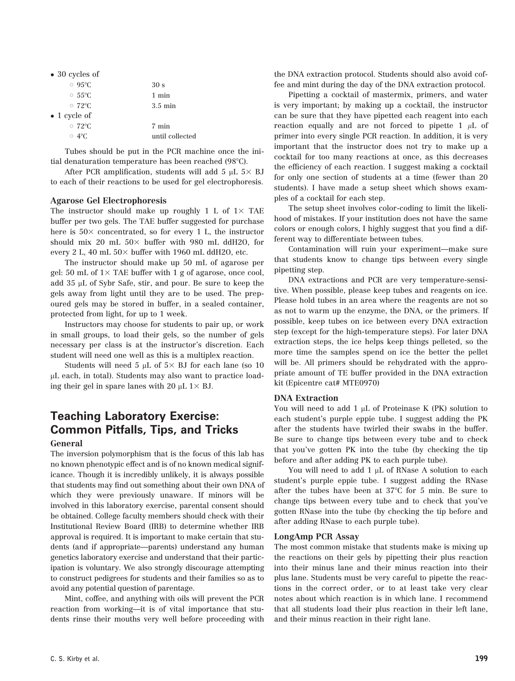| $\bullet$ 30 cycles of |                   |
|------------------------|-------------------|
| $\circ$ 95°C           | 30 <sub>s</sub>   |
| $\circ$ 55°C           | 1 min             |
| $\circ$ 72°C           | $3.5 \text{ min}$ |
| $\bullet$ 1 cycle of   |                   |
| $\circ$ 72°C           | 7 min             |
| $\circ$ 4°C.           | until collected   |
|                        |                   |

Tubes should be put in the PCR machine once the initial denaturation temperature has been reached (98°C).

After PCR amplification, students will add 5  $\mu$ L 5 $\times$  BJ to each of their reactions to be used for gel electrophoresis.

#### Agarose Gel Electrophoresis

The instructor should make up roughly 1 L of  $1\times$  TAE buffer per two gels. The TAE buffer suggested for purchase here is  $50\times$  concentrated, so for every 1 L, the instructor should mix 20 mL  $50\times$  buffer with 980 mL ddH2O, for every 2 L, 40 mL  $50\times$  buffer with 1960 mL ddH2O, etc.

The instructor should make up 50 mL of agarose per gel: 50 mL of  $1\times$  TAE buffer with 1 g of agarose, once cool, add 35 µL of Sybr Safe, stir, and pour. Be sure to keep the gels away from light until they are to be used. The prepoured gels may be stored in buffer, in a sealed container, protected from light, for up to 1 week.

Instructors may choose for students to pair up, or work in small groups, to load their gels, so the number of gels necessary per class is at the instructor's discretion. Each student will need one well as this is a multiplex reaction.

Students will need 5  $\mu$ L of 5× BJ for each lane (so 10 mL each, in total). Students may also want to practice loading their gel in spare lanes with 20  $\mu$ L 1 $\times$  BJ.

## Teaching Laboratory Exercise: Common Pitfalls, Tips, and Tricks

#### General

The inversion polymorphism that is the focus of this lab has no known phenotypic effect and is of no known medical significance. Though it is incredibly unlikely, it is always possible that students may find out something about their own DNA of which they were previously unaware. If minors will be involved in this laboratory exercise, parental consent should be obtained. College faculty members should check with their Institutional Review Board (IRB) to determine whether IRB approval is required. It is important to make certain that students (and if appropriate—parents) understand any human genetics laboratory exercise and understand that their participation is voluntary. We also strongly discourage attempting to construct pedigrees for students and their families so as to avoid any potential question of parentage.

Mint, coffee, and anything with oils will prevent the PCR reaction from working—it is of vital importance that students rinse their mouths very well before proceeding with the DNA extraction protocol. Students should also avoid coffee and mint during the day of the DNA extraction protocol.

Pipetting a cocktail of mastermix, primers, and water is very important; by making up a cocktail, the instructor can be sure that they have pipetted each reagent into each reaction equally and are not forced to pipette 1  $\mu$ L of primer into every single PCR reaction. In addition, it is very important that the instructor does not try to make up a cocktail for too many reactions at once, as this decreases the efficiency of each reaction. I suggest making a cocktail for only one section of students at a time (fewer than 20 students). I have made a setup sheet which shows examples of a cocktail for each step.

The setup sheet involves color-coding to limit the likelihood of mistakes. If your institution does not have the same colors or enough colors, I highly suggest that you find a different way to differentiate between tubes.

Contamination will ruin your experiment—make sure that students know to change tips between every single pipetting step.

DNA extractions and PCR are very temperature-sensitive. When possible, please keep tubes and reagents on ice. Please hold tubes in an area where the reagents are not so as not to warm up the enzyme, the DNA, or the primers. If possible, keep tubes on ice between every DNA extraction step (except for the high-temperature steps). For later DNA extraction steps, the ice helps keep things pelleted, so the more time the samples spend on ice the better the pellet will be. All primers should be rehydrated with the appropriate amount of TE buffer provided in the DNA extraction kit (Epicentre cat# MTE0970)

### DNA Extraction

You will need to add  $1 \mu L$  of Proteinase K (PK) solution to each student's purple eppie tube. I suggest adding the PK after the students have twirled their swabs in the buffer. Be sure to change tips between every tube and to check that you've gotten PK into the tube (by checking the tip before and after adding PK to each purple tube).

You will need to add  $1 \mu$ L of RNase A solution to each student's purple eppie tube. I suggest adding the RNase after the tubes have been at 37°C for 5 min. Be sure to change tips between every tube and to check that you've gotten RNase into the tube (by checking the tip before and after adding RNase to each purple tube).

#### LongAmp PCR Assay

The most common mistake that students make is mixing up the reactions on their gels by pipetting their plus reaction into their minus lane and their minus reaction into their plus lane. Students must be very careful to pipette the reactions in the correct order, or to at least take very clear notes about which reaction is in which lane. I recommend that all students load their plus reaction in their left lane, and their minus reaction in their right lane.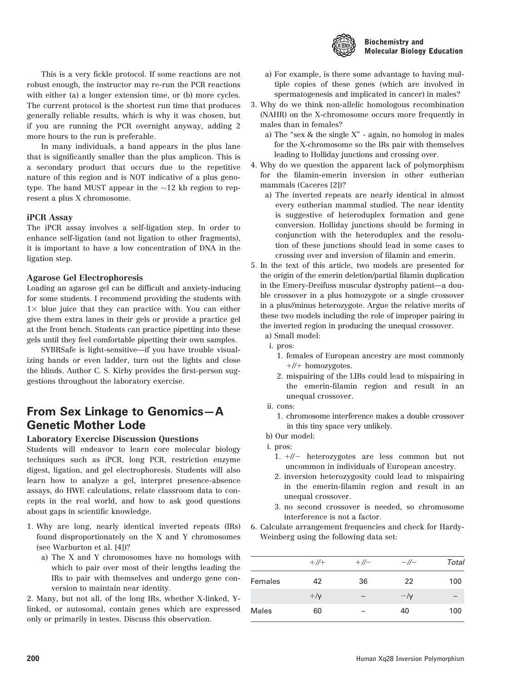

### Biochemistry and Molecular Biology Education

This is a very fickle protocol. If some reactions are not robust enough, the instructor may re-run the PCR reactions with either (a) a longer extension time, or (b) more cycles. The current protocol is the shortest run time that produces generally reliable results, which is why it was chosen, but if you are running the PCR overnight anyway, adding 2 more hours to the run is preferable.

In many individuals, a band appears in the plus lane that is significantly smaller than the plus amplicon. This is a secondary product that occurs due to the repetitive nature of this region and is NOT indicative of a plus genotype. The band MUST appear in the  $\sim$ 12 kb region to represent a plus X chromosome.

### iPCR Assay

The iPCR assay involves a self-ligation step. In order to enhance self-ligation (and not ligation to other fragments), it is important to have a low concentration of DNA in the ligation step.

#### Agarose Gel Electrophoresis

Loading an agarose gel can be difficult and anxiety-inducing for some students. I recommend providing the students with  $1\times$  blue juice that they can practice with. You can either give them extra lanes in their gels or provide a practice gel at the front bench. Students can practice pipetting into these gels until they feel comfortable pipetting their own samples.

SYBRSafe is light-sensitive—if you have trouble visualizing bands or even ladder, turn out the lights and close the blinds. Author C. S. Kirby provides the first-person suggestions throughout the laboratory exercise.

### From Sex Linkage to Genomics—A Genetic Mother Lode

### Laboratory Exercise Discussion Questions

Students will endeavor to learn core molecular biology techniques such as iPCR, long PCR, restriction enzyme digest, ligation, and gel electrophoresis. Students will also learn how to analyze a gel, interpret presence-absence assays, do HWE calculations, relate classroom data to concepts in the real world, and how to ask good questions about gaps in scientific knowledge.

- 1. Why are long, nearly identical inverted repeats (IRs) found disproportionately on the X and Y chromosomes (see Warburton et al. [4])?
	- a) The X and Y chromosomes have no homologs with which to pair over most of their lengths leading the IRs to pair with themselves and undergo gene conversion to maintain near identity.

2. Many, but not all, of the long IRs, whether X-linked, Ylinked, or autosomal, contain genes which are expressed only or primarily in testes. Discuss this observation.

- a) For example, is there some advantage to having multiple copies of these genes (which are involved in spermatogenesis and implicated in cancer) in males?
- 3. Why do we think non-allelic homologous recombination (NAHR) on the X-chromosome occurs more frequently in males than in females?
	- a) The "sex & the single X" again, no homolog in males for the X-chromosome so the IRs pair with themselves leading to Holliday junctions and crossing over.
- 4. Why do we question the apparent lack of polymorphism for the filamin-emerin inversion in other eutherian mammals (Caceres [2])?
	- a) The inverted repeats are nearly identical in almost every eutherian mammal studied. The near identity is suggestive of heteroduplex formation and gene conversion. Holliday junctions should be forming in conjunction with the heteroduplex and the resolution of these junctions should lead in some cases to crossing over and inversion of filamin and emerin.
- 5. In the text of this article, two models are presented for the origin of the emerin deletion/partial filamin duplication in the Emery-Dreifuss muscular dystrophy patient—a double crossover in a plus homozygote or a single crossover in a plus//minus heterozygote. Argue the relative merits of these two models including the role of improper pairing in the inverted region in producing the unequal crossover.
	- a) Small model:
	- i. pros:
		- 1. females of European ancestry are most commonly  $+//+$  homozygotes.
		- 2. mispairing of the LIRs could lead to mispairing in the emerin-filamin region and result in an unequal crossover.
	- ii. cons:
		- 1. chromosome interference makes a double crossover in this tiny space very unlikely.

b) Our model:

- i. pros:
	- 1.  $+//-$  heterozygotes are less common but not uncommon in individuals of European ancestry.
	- 2. inversion heterozygosity could lead to mispairing in the emerin-filamin region and result in an unequal crossover.
	- 3. no second crossover is needed, so chromosome interference is not a factor.
- 6. Calculate arrangement frequencies and check for Hardy-Weinberg using the following data set:

|              | $+/\!/$     | $+$ //- | $-$ // $-$  | Total |
|--------------|-------------|---------|-------------|-------|
| Females      | 42          | 36      | 22          | 100   |
|              | $+\sqrt{v}$ |         | $-\sqrt{v}$ |       |
| <b>Males</b> | 60          |         | 40          | 100   |